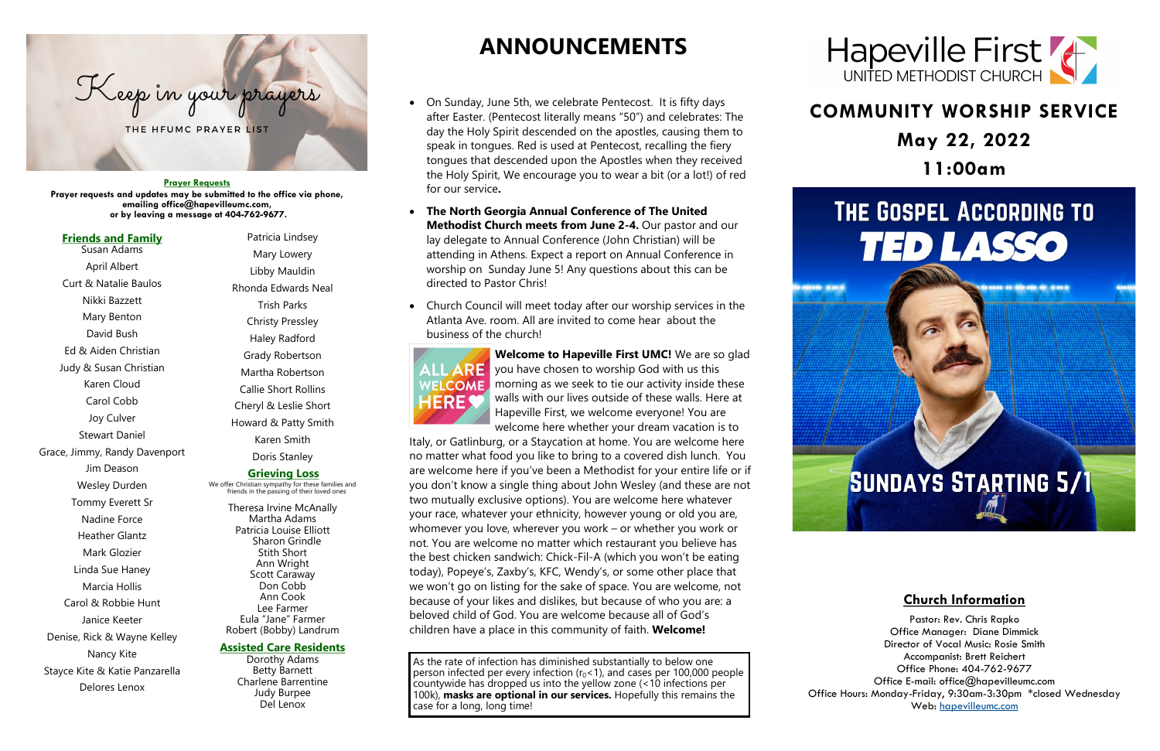## **COMMUNITY WORSHIP SERVICE May 22, 2022 11:00am**

# THE GOSPEL ACCORDING TO **TED LASSO**

1000 0 00.00 0 000

# **SUNDAYS STARTING 5/1**



#### **Prayer Requests**

**Prayer requests and updates may be submitted to the office via phone, emailing office@hapevilleumc.com, or by leaving a message at 404-762-9677.**

## **ANNOUNCEMENTS**

- On Sunday, June 5th, we celebrate Pentecost. It is fifty days after Easter. (Pentecost literally means "50") and celebrates: The day the Holy Spirit descended on the apostles, causing them to speak in tongues. Red is used at Pentecost, recalling the fiery tongues that descended upon the Apostles when they received the Holy Spirit, We encourage you to wear a bit (or a lot!) of red for our service**.**
- **The North Georgia Annual Conference of The United Methodist Church meets from June 2-4.** Our pastor and our lay delegate to Annual Conference (John Christian) will be attending in Athens. Expect a report on Annual Conference in worship on Sunday June 5! Any questions about this can be directed to Pastor Chris!
- Church Council will meet today after our worship services in the Atlanta Ave. room. All are invited to come hear about the business of the church!



**Welcome to Hapeville First UMC!** We are so glad  $\mathsf{MLARE}$  you have chosen to worship God with us this  $W<sub>E</sub>$  come morning as we seek to tie our activity inside these walls with our lives outside of these walls. Here at Hapeville First, we welcome everyone! You are welcome here whether your dream vacation is to

Italy, or Gatlinburg, or a Staycation at home. You are welcome here no matter what food you like to bring to a covered dish lunch. You are welcome here if you've been a Methodist for your entire life or if you don't know a single thing about John Wesley (and these are not two mutually exclusive options). You are welcome here whatever your race, whatever your ethnicity, however young or old you are, whomever you love, wherever you work – or whether you work or not. You are welcome no matter which restaurant you believe has the best chicken sandwich: Chick-Fil-A (which you won't be eating today), Popeye's, Zaxby's, KFC, Wendy's, or some other place that we won't go on listing for the sake of space. You are welcome, not because of your likes and dislikes, but because of who you are: a beloved child of God. You are welcome because all of God's children have a place in this community of faith. **Welcome!**

#### **Friends and Family** Susan Adams

April Albert Curt & Natalie Baulos

Nikki Bazzett Mary Benton David Bush Ed & Aiden Christian Judy & Susan Christian Karen Cloud Carol Cobb Joy Culver Stewart Daniel Grace, Jimmy, Randy Davenport Jim Deason Wesley Durden Tommy Everett Sr Nadine Force Heather Glantz Mark Glozier Linda Sue Haney Marcia Hollis Carol & Robbie Hunt Janice Keeter Denise, Rick & Wayne Kelley Nancy Kite Stayce Kite & Katie Panzarella Delores Lenox

Patricia Lindsey Mary Lowery

Libby Mauldin Rhonda Edwards Neal Trish Parks Christy Pressley Haley Radford Grady Robertson Martha Robertson Callie Short Rollins Cheryl & Leslie Short Howard & Patty Smith Karen Smith

Doris Stanley

### **Grieving Loss**

We offer Christian sympathy for these families and friends in the passing of their loved ones

Theresa Irvine McAnally Martha Adams Patricia Louise Elliott Sharon Grindle Stith Short Ann Wright Scott Caraway Don Cobb Ann Cook Lee Farmer Eula "Jane" Farmer Robert (Bobby) Landrum

### **Assisted Care Residents**

Dorothy Adams Betty Barnett Charlene Barrentine Judy Burpee Del Lenox

As the rate of infection has diminished substantially to below one person infected per every infection  $(r_0 < 1)$ , and cases per 100,000 people countywide has dropped us into the yellow zone (<10 infections per 100k), **masks are optional in our services.** Hopefully this remains the case for a long, long time!

100100 0.0010



## **Church Information**

Pastor: Rev. Chris Rapko Office Manager: Diane Dimmick Director of Vocal Music: Rosie Smith Accompanist: Brett Reichert Office Phone: 404-762-9677 Office E-mail: office@hapevilleumc.com Office Hours: Monday-Friday, 9:30am-3:30pm \*closed Wednesday Web: <hapevilleumc.com>